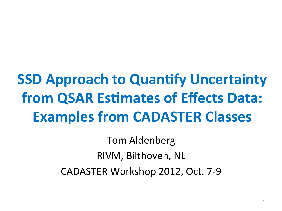# **SSD Approach to Quantify Uncertainty from QSAR Estimates of Effects Data: Examples from CADASTER Classes**

**Tom Aldenberg** RIVM, Bilthoven, NL CADASTER Workshop 2012, Oct. 7-9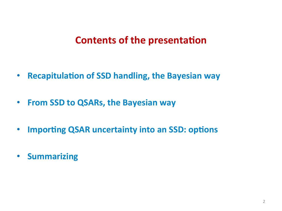## **Contents of the presentation**

- **Recapitulation of SSD handling, the Bayesian way**
- **From SSD to QSARs, the Bayesian way**
- Importing QSAR uncertainty into an SSD: options
- **Summarizing**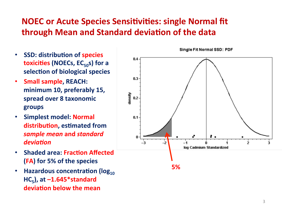## **NOEC or Acute Species Sensitivities: single Normal fit through Mean and Standard deviation of the data**

- **SSD: distribution of species toxicities (NOECs, EC<sub>50</sub>s) for a** selection of biological species
- **Small sample, REACH:** minimum 10, preferably 15, spread over 8 taxonomic **groups#**
- **Simplest model: Normal distribution, estimated from** *sample'mean***#and#***standard'* deviation
- **Shaded area: Fraction Affected (FA) for 5% of the species**
- **Hazardous concentration (log<sub>10</sub>)**  $HC_5$ ), at  $-1.645*$ standard deviation below the mean



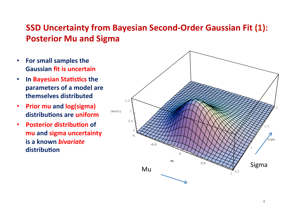### **SSD Uncertainty from Bayesian Second-Order Gaussian Fit (1): Posterior Mu and Sigma**

- **For small samples the Gaussian fit is uncertain**
- In Bayesian Statistics the **parameters of a model are** themselves distributed
- **Prior mu and log(sigma)** distributions are uniform
- **Posterior distribution of mu and sigma uncertainty is a known** *bivariate* distribution

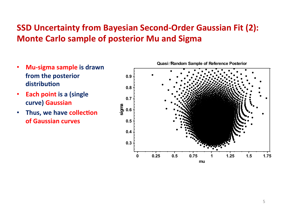## **SSD Uncertainty from Bayesian Second-Order Gaussian Fit (2): Monte Carlo sample of posterior Mu and Sigma**

- Mu-sigma sample is drawn from the posterior distribution
- **Each point is a (single** curve) Gaussian
- **Thus, we have collection of Gaussian curves**

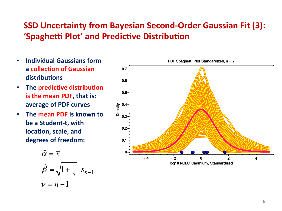## **SSD Uncertainty from Bayesian Second-Order Gaussian Fit (3):** 'Spaghetti Plot' and Predictive Distribution

- **Individual Gaussians form**  $\bullet$ a collection of Gaussian distributions
- The predictive distribution  $\bullet$ is the mean PDF, that is: average of PDF curves
- The mean PDF is known to  $\bullet$ be a Student-t, with location, scale, and degrees of freedom:

$$
\hat{\alpha} = \overline{x}
$$
  

$$
\hat{\beta} = \sqrt{1 + \frac{1}{n}} \cdot s_{n-1}
$$
  

$$
v = n - 1
$$

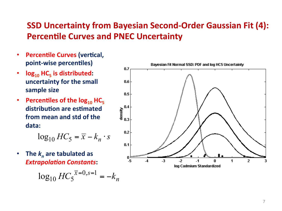### **SSD Uncertainty from Bayesian Second-Order Gaussian Fit (4): Percentile Curves and PNEC Uncertainty**

- **Percentile Curves (vertical,**  $\bullet$ point-wise percentiles)
- $log_{10}$  HC<sub>5</sub> is distributed:  $\bullet$ uncertainty for the small sample size
- Percentiles of the  $log_{10}$  HC<sub>5</sub>  $\bullet$ distribution are estimated from mean and std of the data:

$$
\log_{10} HC_5 = \overline{x} - k_n \cdot s
$$

The  $k_n$  are tabulated as  $\bullet$ **Extrapolation Constants:** 

$$
\log_{10} HC_5^{\overline{x}=0, s=1} = -k_n
$$

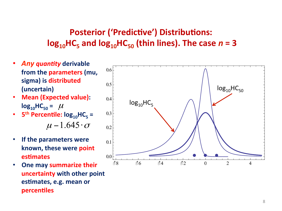## **Posterior ('Predictive') Distributions:**  $log_{10}$ HC<sub>5</sub> and  $log_{10}$ HC<sub>50</sub> (thin lines). The case  $n = 3$

- **Any quantity derivable** from the parameters (mu, sigma) is distributed (uncertain)
- **Mean (Expected value):**  $log_{10}HC_{50} = \mu$
- $5<sup>th</sup>$  Percentile:  $log_{10}HC_5 =$  $\bullet$  $\mu$  – 1.645  $\cdot \sigma$
- If the parameters were  $\bullet$ known, these were point **estimates**
- One may summarize their uncertainty with other point estimates, e.g. mean or **percentiles**

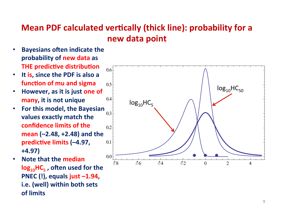## **Mean PDF calculated vertically (thick line): probability for a** new data point

- **Bayesians often indicate the** probability of new data as **THE predictive distribution**
- It is, since the PDF is also a function of mu and sigma
- However, as it is just one of  $\bullet$ many, it is not unique
- For this model, the Bayesian  $\bullet$ values exactly match the confidence limits of the mean  $(-2.48, +2.48)$  and the predictive limits (-4.97,  $+4.97$
- Note that the median  $log_{10}$ HC<sub>5</sub>, often used for the PNEC  $(!)$ , equals just  $-1.94$ , i.e. (well) within both sets of limits

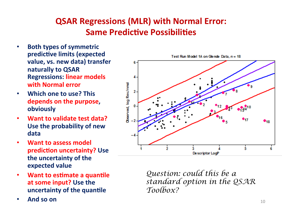## **QSAR Regressions (MLR) with Normal Error: Same Predictive Possibilities**

- **Both types of symmetric predictive limits (expected** value, vs. new data) transfer **naturally to QSAR Regressions: linear models with Normal error**
- **Which one to use? This** depends on the purpose, **obviously#**
- **Want to validate test data? Use the probability of new** data
- **Want to assess model prediction uncertainty? Use** the uncertainty of the **expected value**
- **Want to estimate a quantile** at some input? Use the **uncertainty of the quantile**
- **And so on**  $10$



*Question: could this be a standard option in the QSAR Toolbox?*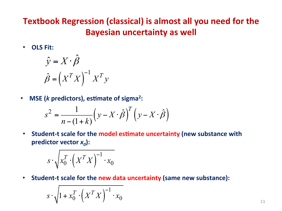## **Textbook Regression (classical) is almost all you need for the Bayesian uncertainty as well**

• **OLS Fit:** 

$$
\hat{y} = X \cdot \hat{\beta}
$$

$$
\hat{\beta} = \left(X^T X\right)^{-1} X^T y
$$

• MSE (*k* predictors), estimate of sigma<sup>2</sup>:

$$
s^{2} = \frac{1}{n - (1 + k)} \left( y - X \cdot \hat{\beta} \right)^{T} \left( y - X \cdot \hat{\beta} \right)
$$

• Student-t scale for the model estimate uncertainty (new substance with **predictor vector**  $x_0$ **:** 

$$
s \cdot \sqrt{x_0^T \cdot \left(X^T X\right)^{-1} \cdot x_0}
$$

• Student-t scale for the new data uncertainty (same new substance):

$$
s \cdot \sqrt{1 + x_0^T \cdot \left(X^T X\right)^{-1} \cdot x_0}
$$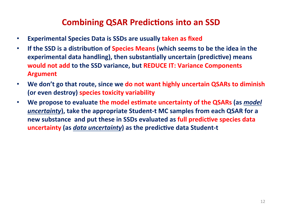#### **Combining QSAR Predictions into an SSD**

- **Experimental Species Data is SSDs are usually taken as fixed**
- If the SSD is a distribution of Species Means (which seems to be the idea in the **experimental data handling), then substantially uncertain (predictive) means would not add to the SSD variance, but REDUCE IT: Variance Components Argument#**
- We don't go that route, since we do not want highly uncertain QSARs to diminish **(or even destroy) species toxicity variability**
- We propose to evaluate the model estimate uncertainty of the QSARs (as *model uncertainty*), take the appropriate Student-t MC samples from each QSAR for a new substance and put these in SSDs evaluated as full predictive species data **uncertainty (as** *data uncertainty***) as the predictive data Student-t**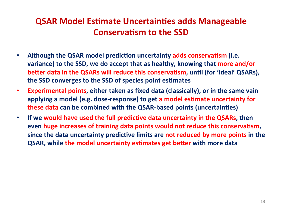## **QSAR Model Estimate Uncertainties adds Manageable Conservatism to the SSD**

- Although the QSAR model prediction uncertainty adds conservatism (i.e. variance) to the SSD, we do accept that as healthy, knowing that more and/or **better data in the QSARs will reduce this conservatism, until (for 'ideal' QSARs),** the SSD converges to the SSD of species point estimates
- **Experimental points, either taken as fixed data (classically), or in the same vain** applying a model (e.g. dose-response) to get a model estimate uncertainty for **these data can be combined with the QSAR-based points (uncertainties)**
- If we would have used the full predictive data uncertainty in the QSARs, then even huge increases of training data points would not reduce this conservatism, since the data uncertainty predictive limits are not reduced by more points in the **QSAR, while the model uncertainty estimates get better with more data**